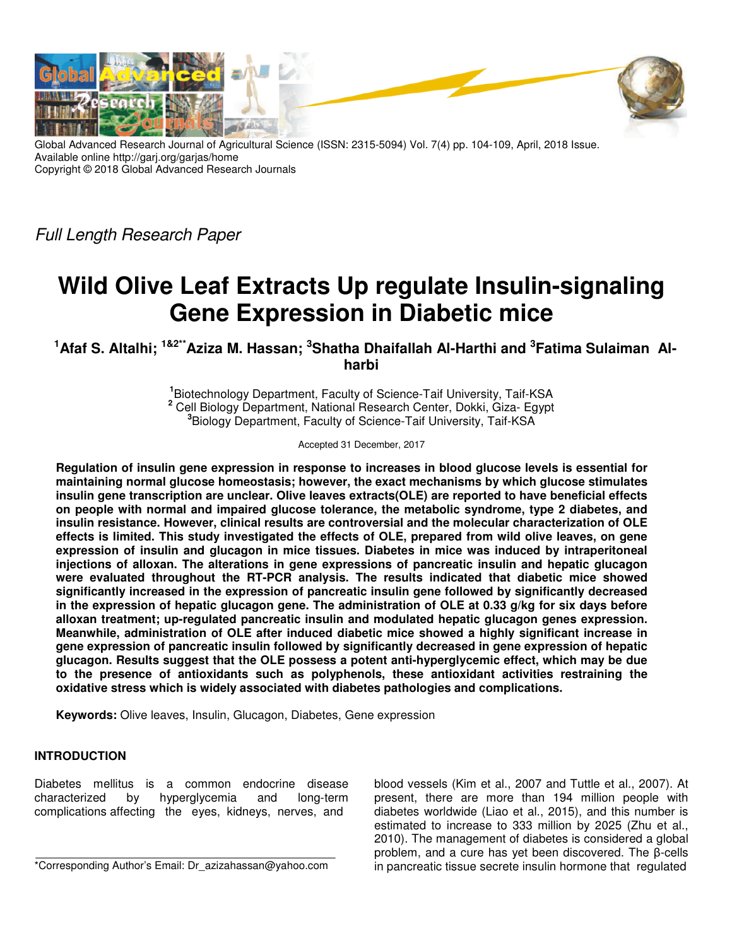

Global Advanced Research Journal of Agricultural Science (ISSN: 2315-5094) Vol. 7(4) pp. 104-109, April, 2018 Issue. Available online http://garj.org/garjas/home Copyright © 2018 Global Advanced Research Journals

Full Length Research Paper

# **Wild Olive Leaf Extracts Up regulate Insulin-signaling Gene Expression in Diabetic mice**

**<sup>1</sup>Afaf S. Altalhi; 1&2\*\*Aziza M. Hassan; <sup>3</sup>Shatha Dhaifallah Al-Harthi and <sup>3</sup> Fatima Sulaiman Alharbi** 

> **1** Biotechnology Department, Faculty of Science-Taif University, Taif-KSA **2** Cell Biology Department, National Research Center, Dokki, Giza- Egypt **3** Biology Department, Faculty of Science-Taif University, Taif-KSA

> > Accepted 31 December, 2017

**Regulation of insulin gene expression in response to increases in blood glucose levels is essential for maintaining normal glucose homeostasis; however, the exact mechanisms by which glucose stimulates insulin gene transcription are unclear. Olive leaves extracts(OLE) are reported to have beneficial effects on people with normal and impaired glucose tolerance, the metabolic syndrome, type 2 diabetes, and insulin resistance. However, clinical results are controversial and the molecular characterization of OLE effects is limited. This study investigated the effects of OLE, prepared from wild olive leaves, on gene expression of insulin and glucagon in mice tissues. Diabetes in mice was induced by intraperitoneal injections of alloxan. The alterations in gene expressions of pancreatic insulin and hepatic glucagon were evaluated throughout the RT-PCR analysis. The results indicated that diabetic mice showed significantly increased in the expression of pancreatic insulin gene followed by significantly decreased in the expression of hepatic glucagon gene. The administration of OLE at 0.33 g/kg for six days before alloxan treatment; up-regulated pancreatic insulin and modulated hepatic glucagon genes expression. Meanwhile, administration of OLE after induced diabetic mice showed a highly significant increase in gene expression of pancreatic insulin followed by significantly decreased in gene expression of hepatic glucagon. Results suggest that the OLE possess a potent anti-hyperglycemic effect, which may be due to the presence of antioxidants such as polyphenols, these antioxidant activities restraining the oxidative stress which is widely associated with diabetes pathologies and complications.** 

**Keywords:** Olive leaves, Insulin, Glucagon, Diabetes, Gene expression

## **INTRODUCTION**

Diabetes mellitus is a common endocrine disease characterized by hyperglycemia and long-term complications affecting the eyes, kidneys, nerves, and

\*Corresponding Author's Email: Dr\_azizahassan@yahoo.com

blood vessels (Kim et al., 2007 and Tuttle et al., 2007). At present, there are more than 194 million people with diabetes worldwide (Liao et al., 2015), and this number is estimated to increase to 333 million by 2025 (Zhu et al., 2010). The management of diabetes is considered a global problem, and a cure has yet been discovered. The β-cells in pancreatic tissue secrete insulin hormone that regulated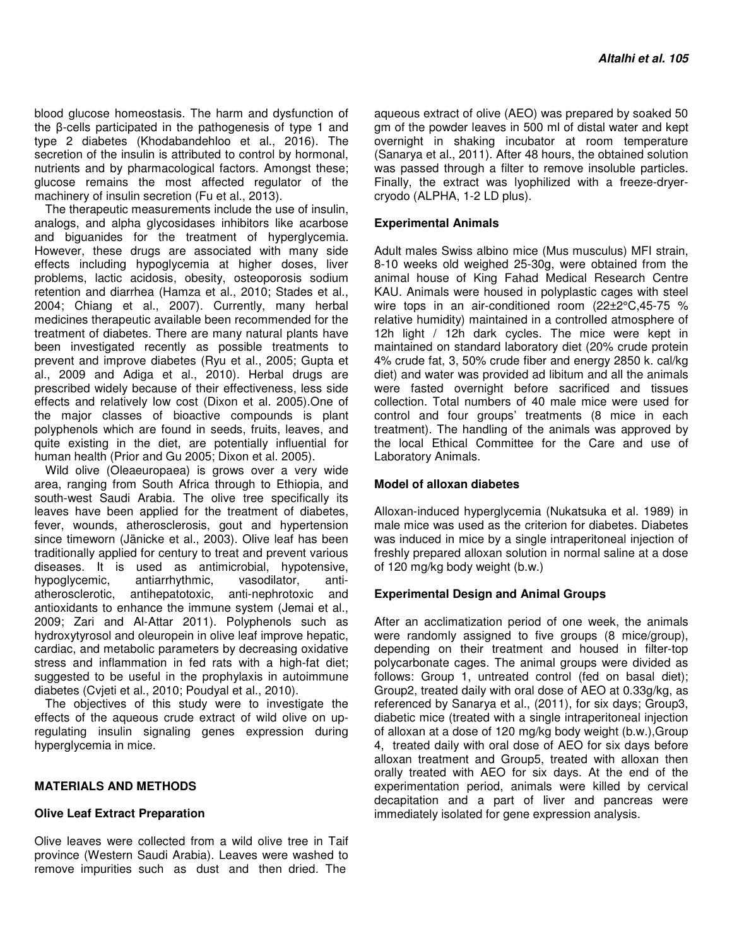blood glucose homeostasis. The harm and dysfunction of the β-cells participated in the pathogenesis of type 1 and type 2 diabetes (Khodabandehloo et al., 2016). The secretion of the insulin is attributed to control by hormonal, nutrients and by pharmacological factors. Amongst these; glucose remains the most affected regulator of the machinery of insulin secretion (Fu et al., 2013).

The therapeutic measurements include the use of insulin, analogs, and alpha glycosidases inhibitors like acarbose and biguanides for the treatment of hyperglycemia. However, these drugs are associated with many side effects including hypoglycemia at higher doses, liver problems, lactic acidosis, obesity, osteoporosis sodium retention and diarrhea (Hamza et al., 2010; Stades et al., 2004; Chiang et al., 2007). Currently, many herbal medicines therapeutic available been recommended for the treatment of diabetes. There are many natural plants have been investigated recently as possible treatments to prevent and improve diabetes (Ryu et al., 2005; Gupta et al., 2009 and Adiga et al., 2010). Herbal drugs are prescribed widely because of their effectiveness, less side effects and relatively low cost (Dixon et al. 2005).One of the major classes of bioactive compounds is plant polyphenols which are found in seeds, fruits, leaves, and quite existing in the diet, are potentially influential for human health (Prior and Gu 2005; Dixon et al. 2005).

Wild olive (Oleaeuropaea) is grows over a very wide area, ranging from South Africa through to Ethiopia, and south-west Saudi Arabia. The olive tree specifically its leaves have been applied for the treatment of diabetes, fever, wounds, atherosclerosis, gout and hypertension since timeworn (Jänicke et al., 2003). Olive leaf has been traditionally applied for century to treat and prevent various diseases. It is used as antimicrobial, hypotensive, hypoglycemic, antiarrhythmic, vasodilator, antiatherosclerotic, antihepatotoxic, anti-nephrotoxic and antioxidants to enhance the immune system (Jemai et al., 2009; Zari and Al-Attar 2011). Polyphenols such as hydroxytyrosol and oleuropein in olive leaf improve hepatic, cardiac, and metabolic parameters by decreasing oxidative stress and inflammation in fed rats with a high-fat diet; suggested to be useful in the prophylaxis in autoimmune diabetes (Cvjeti et al., 2010; Poudyal et al., 2010).

The objectives of this study were to investigate the effects of the aqueous crude extract of wild olive on upregulating insulin signaling genes expression during hyperglycemia in mice.

## **MATERIALS AND METHODS**

### **Olive Leaf Extract Preparation**

Olive leaves were collected from a wild olive tree in Taif province (Western Saudi Arabia). Leaves were washed to remove impurities such as dust and then dried. The

aqueous extract of olive (AEO) was prepared by soaked 50 gm of the powder leaves in 500 ml of distal water and kept overnight in shaking incubator at room temperature (Sanarya et al., 2011). After 48 hours, the obtained solution was passed through a filter to remove insoluble particles. Finally, the extract was lyophilized with a freeze-dryercryodo (ALPHA, 1-2 LD plus).

### **Experimental Animals**

Adult males Swiss albino mice (Mus musculus) MFI strain, 8-10 weeks old weighed 25-30g, were obtained from the animal house of King Fahad Medical Research Centre KAU. Animals were housed in polyplastic cages with steel wire tops in an air-conditioned room (22±2°C,45-75 % relative humidity) maintained in a controlled atmosphere of 12h light / 12h dark cycles. The mice were kept in maintained on standard laboratory diet (20% crude protein 4% crude fat, 3, 50% crude fiber and energy 2850 k. cal/kg diet) and water was provided ad libitum and all the animals were fasted overnight before sacrificed and tissues collection. Total numbers of 40 male mice were used for control and four groups' treatments (8 mice in each treatment). The handling of the animals was approved by the local Ethical Committee for the Care and use of Laboratory Animals.

#### **Model of alloxan diabetes**

Alloxan-induced hyperglycemia (Nukatsuka et al. 1989) in male mice was used as the criterion for diabetes. Diabetes was induced in mice by a single intraperitoneal injection of freshly prepared alloxan solution in normal saline at a dose of 120 mg/kg body weight (b.w.)

## **Experimental Design and Animal Groups**

After an acclimatization period of one week, the animals were randomly assigned to five groups (8 mice/group), depending on their treatment and housed in filter-top polycarbonate cages. The animal groups were divided as follows: Group 1, untreated control (fed on basal diet); Group2, treated daily with oral dose of AEO at 0.33g/kg, as referenced by Sanarya et al., (2011), for six days; Group3, diabetic mice (treated with a single intraperitoneal injection of alloxan at a dose of 120 mg/kg body weight (b.w.),Group 4, treated daily with oral dose of AEO for six days before alloxan treatment and Group5, treated with alloxan then orally treated with AEO for six days. At the end of the experimentation period, animals were killed by cervical decapitation and a part of liver and pancreas were immediately isolated for gene expression analysis.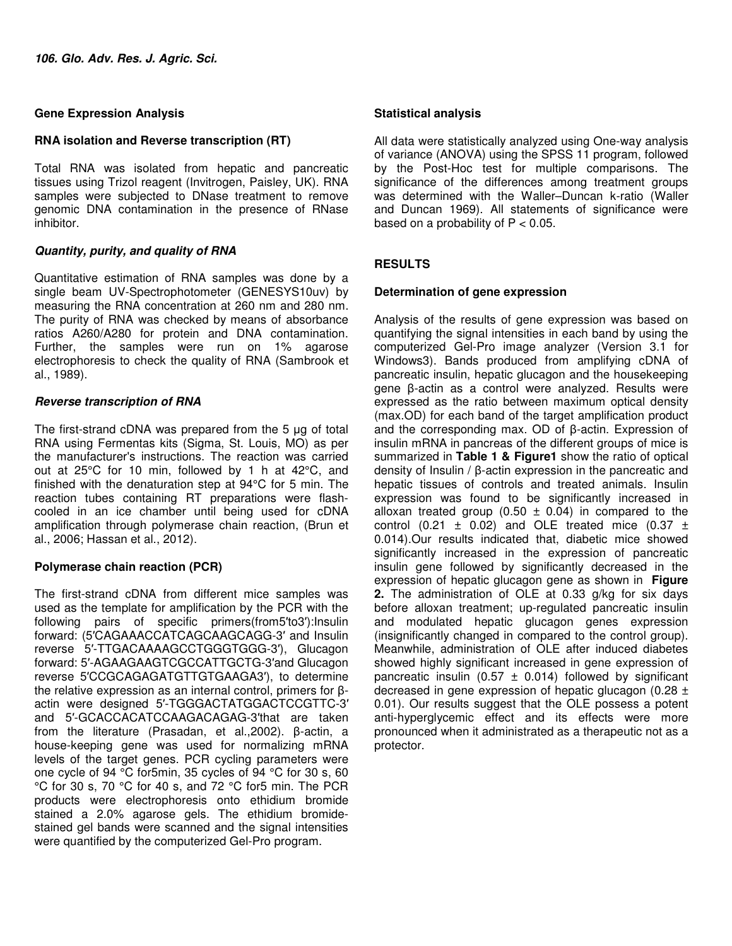## **Gene Expression Analysis**

## **RNA isolation and Reverse transcription (RT)**

Total RNA was isolated from hepatic and pancreatic tissues using Trizol reagent (Invitrogen, Paisley, UK). RNA samples were subjected to DNase treatment to remove genomic DNA contamination in the presence of RNase inhibitor.

## **Quantity, purity, and quality of RNA**

Quantitative estimation of RNA samples was done by a single beam UV-Spectrophotometer (GENESYS10uv) by measuring the RNA concentration at 260 nm and 280 nm. The purity of RNA was checked by means of absorbance ratios A260/A280 for protein and DNA contamination. Further, the samples were run on 1% agarose electrophoresis to check the quality of RNA (Sambrook et al., 1989).

## **Reverse transcription of RNA**

The first-strand cDNA was prepared from the 5 µg of total RNA using Fermentas kits (Sigma, St. Louis, MO) as per the manufacturer's instructions. The reaction was carried out at 25°C for 10 min, followed by 1 h at 42°C, and finished with the denaturation step at 94°C for 5 min. The reaction tubes containing RT preparations were flashcooled in an ice chamber until being used for cDNA amplification through polymerase chain reaction, (Brun et al., 2006; Hassan et al., 2012).

## **Polymerase chain reaction (PCR)**

The first-strand cDNA from different mice samples was used as the template for amplification by the PCR with the following pairs of specific primers(from5′to3′):Insulin forward: (5′CAGAAACCATCAGCAAGCAGG-3′ and Insulin reverse 5′-TTGACAAAAGCCTGGGTGGG-3′), Glucagon forward: 5′-AGAAGAAGTCGCCATTGCTG-3′and Glucagon reverse 5′CCGCAGAGATGTTGTGAAGA3′), to determine the relative expression as an internal control, primers for βactin were designed 5′-TGGGACTATGGACTCCGTTC-3′ and 5′-GCACCACATCCAAGACAGAG-3′that are taken from the literature (Prasadan, et al.,2002). β-actin, a house-keeping gene was used for normalizing mRNA levels of the target genes. PCR cycling parameters were one cycle of 94 °C for5min, 35 cycles of 94 °C for 30 s, 60 °C for 30 s, 70 °C for 40 s, and 72 °C for5 min. The PCR products were electrophoresis onto ethidium bromide stained a 2.0% agarose gels. The ethidium bromidestained gel bands were scanned and the signal intensities were quantified by the computerized Gel-Pro program.

## **Statistical analysis**

All data were statistically analyzed using One-way analysis of variance (ANOVA) using the SPSS 11 program, followed by the Post-Hoc test for multiple comparisons. The significance of the differences among treatment groups was determined with the Waller–Duncan k-ratio (Waller and Duncan 1969). All statements of significance were based on a probability of  $P < 0.05$ .

## **RESULTS**

## **Determination of gene expression**

Analysis of the results of gene expression was based on quantifying the signal intensities in each band by using the computerized Gel-Pro image analyzer (Version 3.1 for Windows3). Bands produced from amplifying cDNA of pancreatic insulin, hepatic glucagon and the housekeeping gene β-actin as a control were analyzed. Results were expressed as the ratio between maximum optical density (max.OD) for each band of the target amplification product and the corresponding max. OD of β-actin. Expression of insulin mRNA in pancreas of the different groups of mice is summarized in **Table 1 & Figure1** show the ratio of optical density of Insulin / β-actin expression in the pancreatic and hepatic tissues of controls and treated animals. Insulin expression was found to be significantly increased in alloxan treated group (0.50  $\pm$  0.04) in compared to the control (0.21  $\pm$  0.02) and OLE treated mice (0.37  $\pm$ 0.014).Our results indicated that, diabetic mice showed significantly increased in the expression of pancreatic insulin gene followed by significantly decreased in the expression of hepatic glucagon gene as shown in **Figure 2.** The administration of OLE at 0.33 g/kg for six days before alloxan treatment; up-regulated pancreatic insulin and modulated hepatic glucagon genes expression (insignificantly changed in compared to the control group). Meanwhile, administration of OLE after induced diabetes showed highly significant increased in gene expression of pancreatic insulin (0.57  $\pm$  0.014) followed by significant decreased in gene expression of hepatic glucagon (0.28  $\pm$ 0.01). Our results suggest that the OLE possess a potent anti-hyperglycemic effect and its effects were more pronounced when it administrated as a therapeutic not as a protector.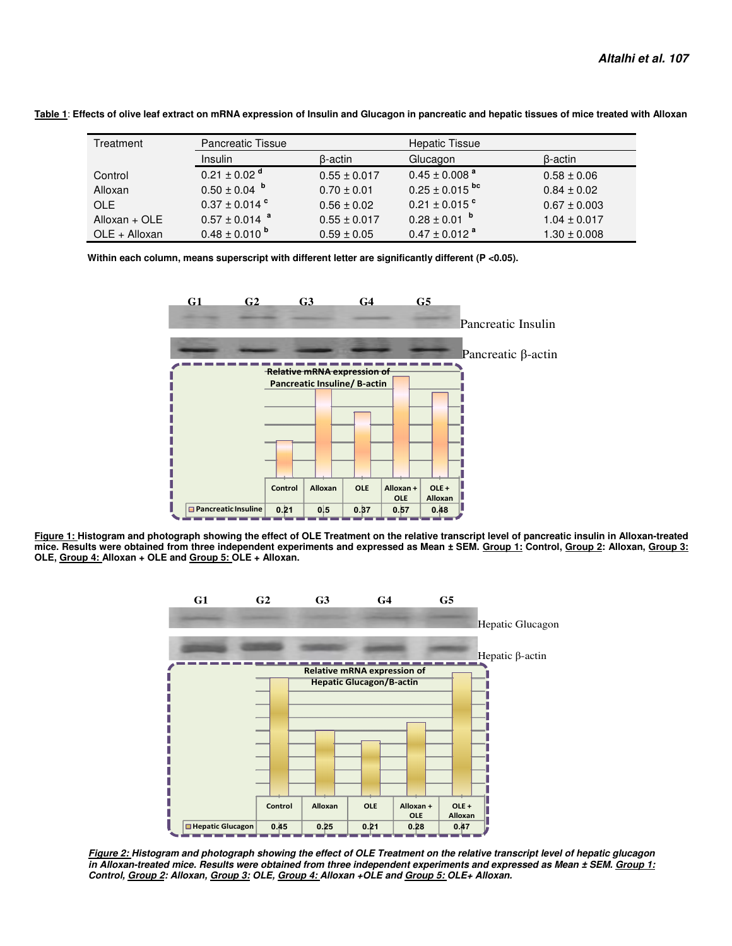| Treatment     | <b>Pancreatic Tissue</b>      |                  | <b>Hepatic Tissue</b>          |                  |
|---------------|-------------------------------|------------------|--------------------------------|------------------|
|               | <b>Insulin</b>                | β-actin          | Glucagon                       | β-actin          |
| Control       | $0.21 \pm 0.02$ <sup>d</sup>  | $0.55 \pm 0.017$ | $0.45 \pm 0.008$ <sup>a</sup>  | $0.58 \pm 0.06$  |
| Alloxan       | $0.50 \pm 0.04$               | $0.70 \pm 0.01$  | $0.25 \pm 0.015$ <sup>bc</sup> | $0.84 \pm 0.02$  |
| OLE.          | $0.37 \pm 0.014$ °            | $0.56 \pm 0.02$  | $0.21 \pm 0.015$ °             | $0.67 \pm 0.003$ |
| Alloxan + OLE | $0.57 \pm 0.014$ <sup>a</sup> | $0.55 \pm 0.017$ | $0.28 \pm 0.01$ b              | $1.04 \pm 0.017$ |
| OLE + Alloxan | $0.48 \pm 0.010^{b}$          | $0.59 \pm 0.05$  | $0.47 \pm 0.012$ <sup>a</sup>  | $1.30 \pm 0.008$ |

**Table 1**: **Effects of olive leaf extract on mRNA expression of Insulin and Glucagon in pancreatic and hepatic tissues of mice treated with Alloxan** 

 **Within each column, means superscript with different letter are significantly different (P <0.05).** 



**Figure 1: Histogram and photograph showing the effect of OLE Treatment on the relative transcript level of pancreatic insulin in Alloxan-treated mice. Results were obtained from three independent experiments and expressed as Mean ± SEM. Group 1: Control, Group 2: Alloxan, Group 3: OLE, Group 4: Alloxan + OLE and Group 5: OLE + Alloxan.** 



**Figure 2: Histogram and photograph showing the effect of OLE Treatment on the relative transcript level of hepatic glucagon in Alloxan-treated mice. Results were obtained from three independent experiments and expressed as Mean ± SEM. Group 1: Control, Group 2: Alloxan, Group 3: OLE, Group 4: Alloxan +OLE and Group 5: OLE+ Alloxan.**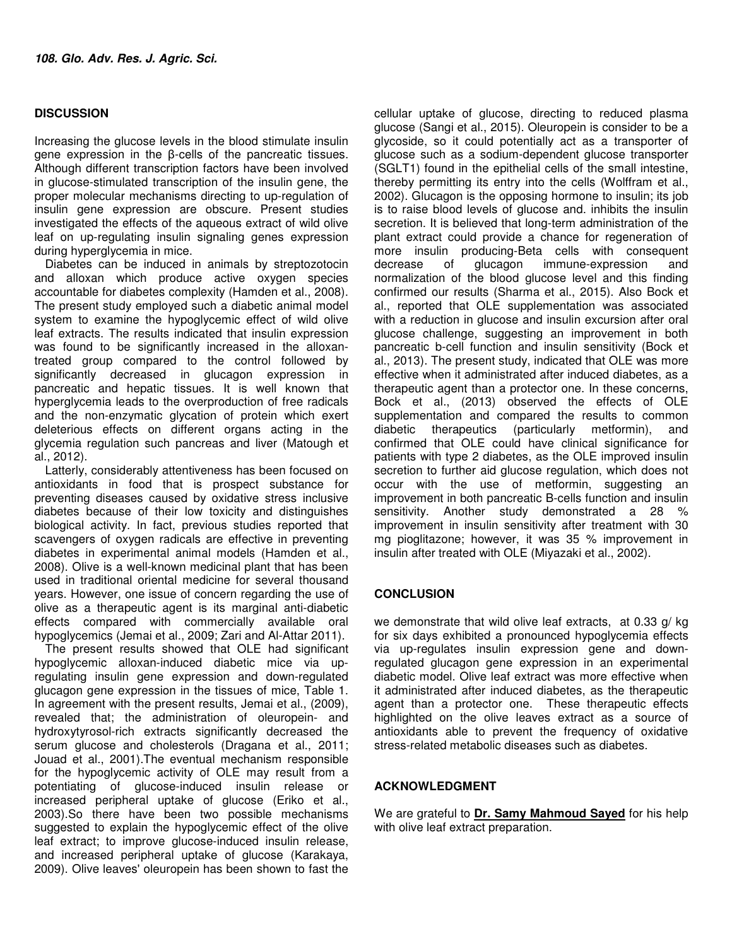## **DISCUSSION**

Increasing the glucose levels in the blood stimulate insulin gene expression in the β-cells of the pancreatic tissues. Although different transcription factors have been involved in glucose-stimulated transcription of the insulin gene, the proper molecular mechanisms directing to up-regulation of insulin gene expression are obscure. Present studies investigated the effects of the aqueous extract of wild olive leaf on up-regulating insulin signaling genes expression during hyperglycemia in mice.

Diabetes can be induced in animals by streptozotocin and alloxan which produce active oxygen species accountable for diabetes complexity (Hamden et al., 2008). The present study employed such a diabetic animal model system to examine the hypoglycemic effect of wild olive leaf extracts. The results indicated that insulin expression was found to be significantly increased in the alloxantreated group compared to the control followed by significantly decreased in glucagon expression in pancreatic and hepatic tissues. It is well known that hyperglycemia leads to the overproduction of free radicals and the non-enzymatic glycation of protein which exert deleterious effects on different organs acting in the glycemia regulation such pancreas and liver (Matough et al., 2012).

Latterly, considerably attentiveness has been focused on antioxidants in food that is prospect substance for preventing diseases caused by oxidative stress inclusive diabetes because of their low toxicity and distinguishes biological activity. In fact, previous studies reported that scavengers of oxygen radicals are effective in preventing diabetes in experimental animal models (Hamden et al., 2008). Olive is a well-known medicinal plant that has been used in traditional oriental medicine for several thousand years. However, one issue of concern regarding the use of olive as a therapeutic agent is its marginal anti-diabetic effects compared with commercially available oral hypoglycemics (Jemai et al., 2009; Zari and Al-Attar 2011).

The present results showed that OLE had significant hypoglycemic alloxan-induced diabetic mice via upregulating insulin gene expression and down-regulated glucagon gene expression in the tissues of mice, Table 1. In agreement with the present results, Jemai et al., (2009), revealed that; the administration of oleuropein- and hydroxytyrosol-rich extracts significantly decreased the serum glucose and cholesterols (Dragana et al., 2011; Jouad et al., 2001).The eventual mechanism responsible for the hypoglycemic activity of OLE may result from a potentiating of glucose-induced insulin release or increased peripheral uptake of glucose (Eriko et al., 2003).So there have been two possible mechanisms suggested to explain the hypoglycemic effect of the olive leaf extract; to improve glucose-induced insulin release, and increased peripheral uptake of glucose (Karakaya, 2009). Olive leaves' oleuropein has been shown to fast the

cellular uptake of glucose, directing to reduced plasma glucose (Sangi et al., 2015). Oleuropein is consider to be a glycoside, so it could potentially act as a transporter of glucose such as a sodium-dependent glucose transporter (SGLT1) found in the epithelial cells of the small intestine, thereby permitting its entry into the cells (Wolffram et al., 2002). Glucagon is the opposing hormone to insulin; its job is to raise blood levels of glucose and. inhibits the insulin secretion. It is believed that long-term administration of the plant extract could provide a chance for regeneration of more insulin producing-Beta cells with consequent decrease of glucagon immune-expression and normalization of the blood glucose level and this finding confirmed our results (Sharma et al., 2015). Also Bock et al., reported that OLE supplementation was associated with a reduction in glucose and insulin excursion after oral glucose challenge, suggesting an improvement in both pancreatic b-cell function and insulin sensitivity (Bock et al., 2013). The present study, indicated that OLE was more effective when it administrated after induced diabetes, as a therapeutic agent than a protector one. In these concerns, Bock et al., (2013) observed the effects of OLE supplementation and compared the results to common diabetic therapeutics (particularly metformin), and confirmed that OLE could have clinical significance for patients with type 2 diabetes, as the OLE improved insulin secretion to further aid glucose regulation, which does not occur with the use of metformin, suggesting an improvement in both pancreatic B-cells function and insulin sensitivity. Another study demonstrated a 28 % improvement in insulin sensitivity after treatment with 30 mg pioglitazone; however, it was 35 % improvement in insulin after treated with OLE (Miyazaki et al., 2002).

## **CONCLUSION**

we demonstrate that wild olive leaf extracts, at 0.33 g/ kg for six days exhibited a pronounced hypoglycemia effects via up-regulates insulin expression gene and downregulated glucagon gene expression in an experimental diabetic model. Olive leaf extract was more effective when it administrated after induced diabetes, as the therapeutic agent than a protector one. These therapeutic effects highlighted on the olive leaves extract as a source of antioxidants able to prevent the frequency of oxidative stress-related metabolic diseases such as diabetes.

## **ACKNOWLEDGMENT**

We are grateful to **Dr. Samy Mahmoud Sayed** for his help with olive leaf extract preparation.